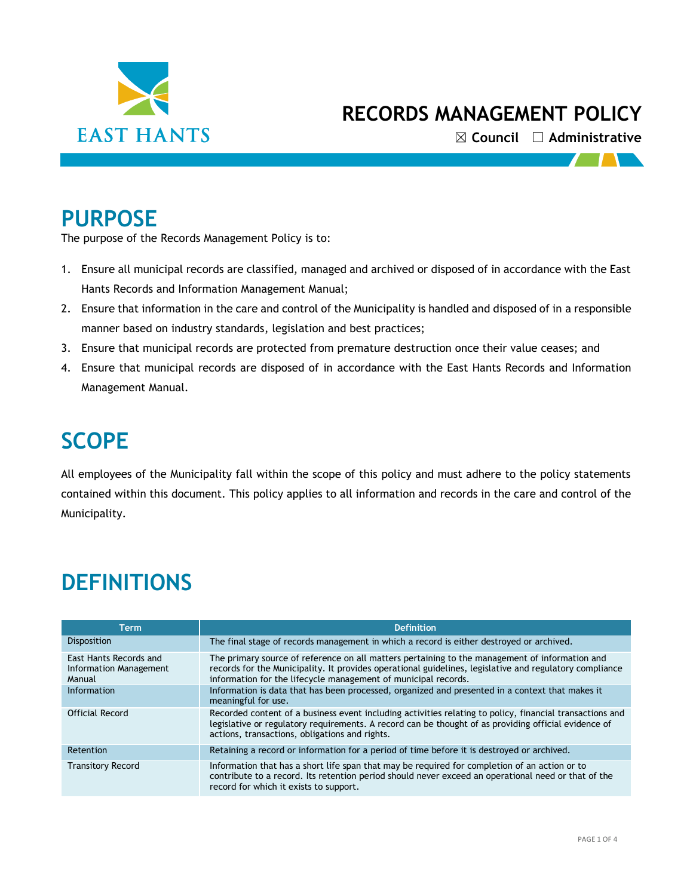

☒ **Council** ☐ **Administrative**

 $\mathbf{I}$ 

### **PURPOSE**

The purpose of the Records Management Policy is to:

- 1. Ensure all municipal records are classified, managed and archived or disposed of in accordance with the East Hants Records and Information Management Manual;
- 2. Ensure that information in the care and control of the Municipality is handled and disposed of in a responsible manner based on industry standards, legislation and best practices;
- 3. Ensure that municipal records are protected from premature destruction once their value ceases; and
- 4. Ensure that municipal records are disposed of in accordance with the East Hants Records and Information Management Manual.

# **SCOPE**

All employees of the Municipality fall within the scope of this policy and must adhere to the policy statements contained within this document. This policy applies to all information and records in the care and control of the Municipality.

## **DEFINITIONS**

| Term                                                       | <b>Definition</b>                                                                                                                                                                                                                                                           |  |  |  |
|------------------------------------------------------------|-----------------------------------------------------------------------------------------------------------------------------------------------------------------------------------------------------------------------------------------------------------------------------|--|--|--|
| <b>Disposition</b>                                         | The final stage of records management in which a record is either destroyed or archived.                                                                                                                                                                                    |  |  |  |
| East Hants Records and<br>Information Management<br>Manual | The primary source of reference on all matters pertaining to the management of information and<br>records for the Municipality. It provides operational guidelines, legislative and regulatory compliance<br>information for the lifecycle management of municipal records. |  |  |  |
| Information                                                | Information is data that has been processed, organized and presented in a context that makes it<br>meaningful for use.                                                                                                                                                      |  |  |  |
| Official Record                                            | Recorded content of a business event including activities relating to policy, financial transactions and<br>legislative or regulatory requirements. A record can be thought of as providing official evidence of<br>actions, transactions, obligations and rights.          |  |  |  |
| Retention                                                  | Retaining a record or information for a period of time before it is destroyed or archived.                                                                                                                                                                                  |  |  |  |
| <b>Transitory Record</b>                                   | Information that has a short life span that may be required for completion of an action or to<br>contribute to a record. Its retention period should never exceed an operational need or that of the<br>record for which it exists to support.                              |  |  |  |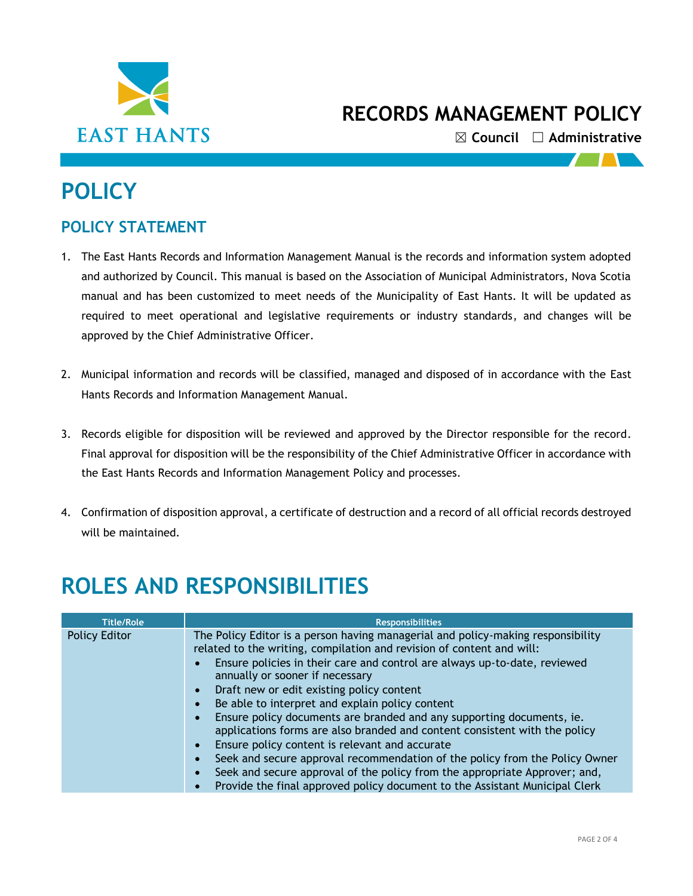

☒ **Council** ☐ **Administrative**

## **POLICY**

#### **POLICY STATEMENT**

- 1. The East Hants Records and Information Management Manual is the records and information system adopted and authorized by Council. This manual is based on the Association of Municipal Administrators, Nova Scotia manual and has been customized to meet needs of the Municipality of East Hants. It will be updated as required to meet operational and legislative requirements or industry standards, and changes will be approved by the Chief Administrative Officer.
- 2. Municipal information and records will be classified, managed and disposed of in accordance with the East Hants Records and Information Management Manual.
- 3. Records eligible for disposition will be reviewed and approved by the Director responsible for the record. Final approval for disposition will be the responsibility of the Chief Administrative Officer in accordance with the East Hants Records and Information Management Policy and processes.
- 4. Confirmation of disposition approval, a certificate of destruction and a record of all official records destroyed will be maintained.

# **ROLES AND RESPONSIBILITIES**

| <b>Title/Role</b> | <b>Responsibilities</b>                                                                                                                                                                                                                                                                                                                                                                                                                                                                                                                                                                                                                                                                                                                                                                                                        |
|-------------------|--------------------------------------------------------------------------------------------------------------------------------------------------------------------------------------------------------------------------------------------------------------------------------------------------------------------------------------------------------------------------------------------------------------------------------------------------------------------------------------------------------------------------------------------------------------------------------------------------------------------------------------------------------------------------------------------------------------------------------------------------------------------------------------------------------------------------------|
| Policy Editor     | The Policy Editor is a person having managerial and policy-making responsibility<br>related to the writing, compilation and revision of content and will:<br>Ensure policies in their care and control are always up-to-date, reviewed<br>annually or sooner if necessary<br>Draft new or edit existing policy content<br>Be able to interpret and explain policy content<br>Ensure policy documents are branded and any supporting documents, ie.<br>applications forms are also branded and content consistent with the policy<br>Ensure policy content is relevant and accurate<br>Seek and secure approval recommendation of the policy from the Policy Owner<br>Seek and secure approval of the policy from the appropriate Approver; and,<br>Provide the final approved policy document to the Assistant Municipal Clerk |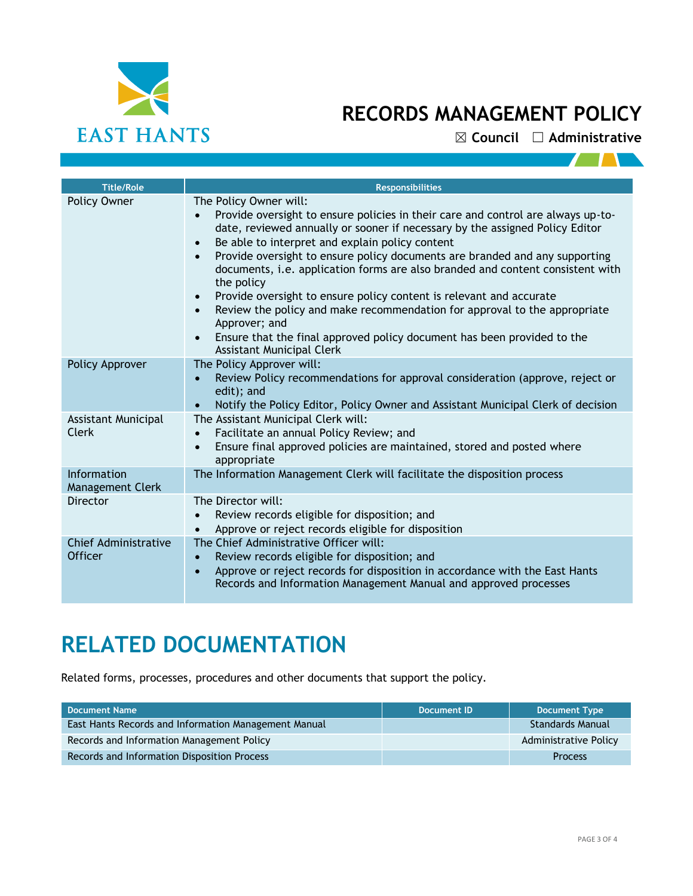

☒ **Council** ☐ **Administrative**

| <b>Title/Role</b>                             | <b>Responsibilities</b>                                                                                                                                                                                                                                                                                                                                                                                                                                                                                                                                                                                                                                                                                          |
|-----------------------------------------------|------------------------------------------------------------------------------------------------------------------------------------------------------------------------------------------------------------------------------------------------------------------------------------------------------------------------------------------------------------------------------------------------------------------------------------------------------------------------------------------------------------------------------------------------------------------------------------------------------------------------------------------------------------------------------------------------------------------|
| Policy Owner                                  | The Policy Owner will:<br>Provide oversight to ensure policies in their care and control are always up-to-<br>date, reviewed annually or sooner if necessary by the assigned Policy Editor<br>Be able to interpret and explain policy content<br>Provide oversight to ensure policy documents are branded and any supporting<br>documents, i.e. application forms are also branded and content consistent with<br>the policy<br>Provide oversight to ensure policy content is relevant and accurate<br>Review the policy and make recommendation for approval to the appropriate<br>Approver; and<br>Ensure that the final approved policy document has been provided to the<br><b>Assistant Municipal Clerk</b> |
| Policy Approver                               | The Policy Approver will:<br>Review Policy recommendations for approval consideration (approve, reject or<br>edit); and<br>Notify the Policy Editor, Policy Owner and Assistant Municipal Clerk of decision                                                                                                                                                                                                                                                                                                                                                                                                                                                                                                      |
| Assistant Municipal<br>Clerk                  | The Assistant Municipal Clerk will:<br>Facilitate an annual Policy Review; and<br>Ensure final approved policies are maintained, stored and posted where<br>appropriate                                                                                                                                                                                                                                                                                                                                                                                                                                                                                                                                          |
| <b>Information</b><br><b>Management Clerk</b> | The Information Management Clerk will facilitate the disposition process                                                                                                                                                                                                                                                                                                                                                                                                                                                                                                                                                                                                                                         |
| Director                                      | The Director will:<br>Review records eligible for disposition; and<br>Approve or reject records eligible for disposition                                                                                                                                                                                                                                                                                                                                                                                                                                                                                                                                                                                         |
| Chief Administrative<br><b>Officer</b>        | The Chief Administrative Officer will:<br>Review records eligible for disposition; and<br>$\bullet$<br>Approve or reject records for disposition in accordance with the East Hants<br>Records and Information Management Manual and approved processes                                                                                                                                                                                                                                                                                                                                                                                                                                                           |

# **RELATED DOCUMENTATION**

Related forms, processes, procedures and other documents that support the policy.

| Document Name                                        | Document ID | <b>Document Type</b>  |
|------------------------------------------------------|-------------|-----------------------|
| East Hants Records and Information Management Manual |             | Standards Manual      |
| Records and Information Management Policy            |             | Administrative Policy |
| Records and Information Disposition Process          |             | <b>Process</b>        |